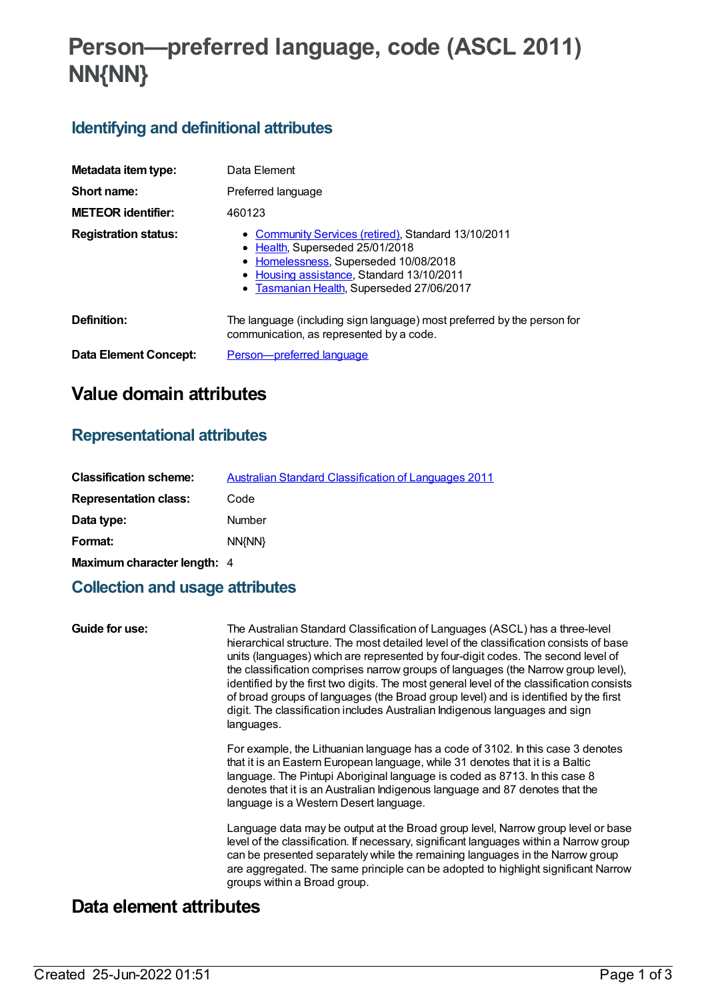# **Person—preferred language, code (ASCL 2011) NN{NN}**

# **Identifying and definitional attributes**

| Metadata item type:         | Data Element                                                                                                                                                                                                              |
|-----------------------------|---------------------------------------------------------------------------------------------------------------------------------------------------------------------------------------------------------------------------|
| Short name:                 | Preferred language                                                                                                                                                                                                        |
| <b>METEOR identifier:</b>   | 460123                                                                                                                                                                                                                    |
| <b>Registration status:</b> | • Community Services (retired), Standard 13/10/2011<br>• Health, Superseded 25/01/2018<br>• Homelessness, Superseded 10/08/2018<br>• Housing assistance, Standard 13/10/2011<br>• Tasmanian Health, Superseded 27/06/2017 |
| Definition:                 | The language (including sign language) most preferred by the person for<br>communication, as represented by a code.                                                                                                       |
| Data Element Concept:       | Person-preferred language                                                                                                                                                                                                 |

# **Value domain attributes**

### **Representational attributes**

| <b>Classification scheme:</b> | <b>Australian Standard Classification of Languages 2011</b> |
|-------------------------------|-------------------------------------------------------------|
| <b>Representation class:</b>  | Code                                                        |
| Data type:                    | Number                                                      |
| Format:                       | NN{NN}                                                      |
| Maximum character length: 4   |                                                             |

## **Collection and usage attributes**

| Guide for use: | The Australian Standard Classification of Languages (ASCL) has a three-level<br>hierarchical structure. The most detailed level of the classification consists of base<br>units (languages) which are represented by four-digit codes. The second level of<br>the classification comprises narrow groups of languages (the Narrow group level),<br>identified by the first two digits. The most general level of the classification consists<br>of broad groups of languages (the Broad group level) and is identified by the first<br>digit. The classification includes Australian Indigenous languages and sign<br>languages. |
|----------------|----------------------------------------------------------------------------------------------------------------------------------------------------------------------------------------------------------------------------------------------------------------------------------------------------------------------------------------------------------------------------------------------------------------------------------------------------------------------------------------------------------------------------------------------------------------------------------------------------------------------------------|
|                | For example, the Lithuanian language has a code of 3102. In this case 3 denotes<br>that it is an Eastern European language, while 31 denotes that it is a Baltic<br>language. The Pintupi Aboriginal language is coded as 8713. In this case 8<br>denotes that it is an Australian Indigenous language and 87 denotes that the<br>language is a Western Desert language.                                                                                                                                                                                                                                                         |
|                | Language data may be output at the Broad group level, Narrow group level or base<br>level of the classification. If necessary, significant languages within a Narrow group<br>can be presented separately while the remaining languages in the Narrow group<br>are aggregated. The same principle can be adopted to highlight significant Narrow<br>groups within a Broad group.                                                                                                                                                                                                                                                 |

# **Data element attributes**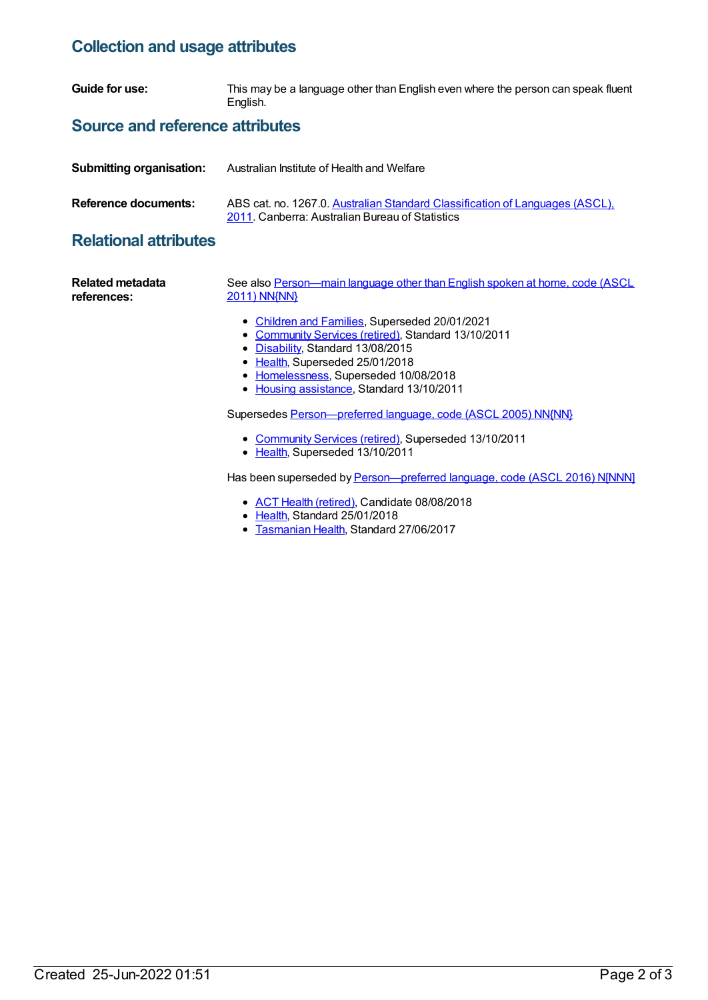#### **Collection and usage attributes**

**Guide for use:** This may be a language other than English even where the person can speak fluent English.

#### **Source and reference attributes**

| <b>Submitting organisation:</b> | Australian Institute of Health and Welfare                                                                                      |
|---------------------------------|---------------------------------------------------------------------------------------------------------------------------------|
| Reference documents:            | ABS cat. no. 1267.0. Australian Standard Classification of Languages (ASCL),<br>2011. Canberra: Australian Bureau of Statistics |

### **Relational attributes**

| Related metadata<br>references: | See also Person-main language other than English spoken at home, code (ASCL<br>2011) NN{NN}                                                                                                                                                                         |
|---------------------------------|---------------------------------------------------------------------------------------------------------------------------------------------------------------------------------------------------------------------------------------------------------------------|
|                                 | • Children and Families, Superseded 20/01/2021<br>• Community Services (retired), Standard 13/10/2011<br>• Disability, Standard 13/08/2015<br>• Health, Superseded 25/01/2018<br>• Homelessness, Superseded 10/08/2018<br>• Housing assistance, Standard 13/10/2011 |
|                                 | Supersedes Person-preferred language, code (ASCL 2005) NN{NN}                                                                                                                                                                                                       |
|                                 | • Community Services (retired), Superseded 13/10/2011<br>• Health, Superseded 13/10/2011                                                                                                                                                                            |
|                                 | Has been superseded by Person—preferred language, code (ASCL, 2016) NINNNI                                                                                                                                                                                          |

Has been superseded by *[Person—preferred](https://meteor.aihw.gov.au/content/659407) language, code (ASCL 2016) N[NNN]* 

- ACT Health [\(retired\)](https://meteor.aihw.gov.au/RegistrationAuthority/9), Candidate 08/08/2018
- [Health](https://meteor.aihw.gov.au/RegistrationAuthority/12), Standard 25/01/2018
- [Tasmanian](https://meteor.aihw.gov.au/RegistrationAuthority/15) Health, Standard 27/06/2017